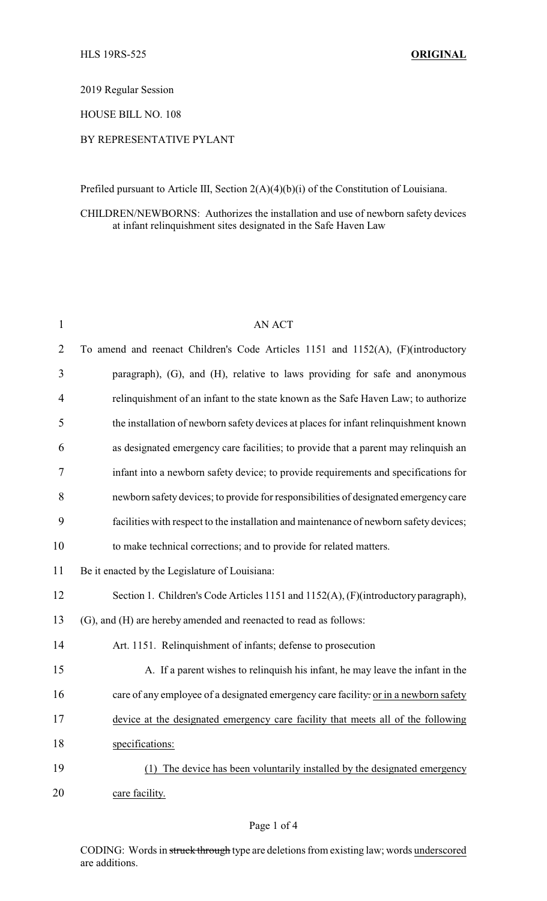2019 Regular Session

HOUSE BILL NO. 108

## BY REPRESENTATIVE PYLANT

Prefiled pursuant to Article III, Section 2(A)(4)(b)(i) of the Constitution of Louisiana.

CHILDREN/NEWBORNS: Authorizes the installation and use of newborn safety devices at infant relinquishment sites designated in the Safe Haven Law

| 1              | AN ACT                                                                                 |
|----------------|----------------------------------------------------------------------------------------|
| $\overline{2}$ | To amend and reenact Children's Code Articles 1151 and 1152(A), (F)(introductory       |
| 3              | paragraph), (G), and (H), relative to laws providing for safe and anonymous            |
| 4              | relinquishment of an infant to the state known as the Safe Haven Law; to authorize     |
| 5              | the installation of newborn safety devices at places for infant relinquishment known   |
| 6              | as designated emergency care facilities; to provide that a parent may relinquish an    |
| 7              | infant into a newborn safety device; to provide requirements and specifications for    |
| 8              | newborn safety devices; to provide for responsibilities of designated emergency care   |
| 9              | facilities with respect to the installation and maintenance of newborn safety devices; |
| 10             | to make technical corrections; and to provide for related matters.                     |
| 11             | Be it enacted by the Legislature of Louisiana:                                         |
| 12             | Section 1. Children's Code Articles 1151 and 1152(A), (F)(introductory paragraph),     |
| 13             | (G), and (H) are hereby amended and reenacted to read as follows:                      |
| 14             | Art. 1151. Relinquishment of infants; defense to prosecution                           |
| 15             | A. If a parent wishes to relinquish his infant, he may leave the infant in the         |
| 16             | care of any employee of a designated emergency care facility. or in a newborn safety   |
| 17             | device at the designated emergency care facility that meets all of the following       |
| 18             | specifications:                                                                        |
| 19             | The device has been voluntarily installed by the designated emergency<br>(1)           |
| 20             | care facility.                                                                         |

CODING: Words in struck through type are deletions from existing law; words underscored are additions.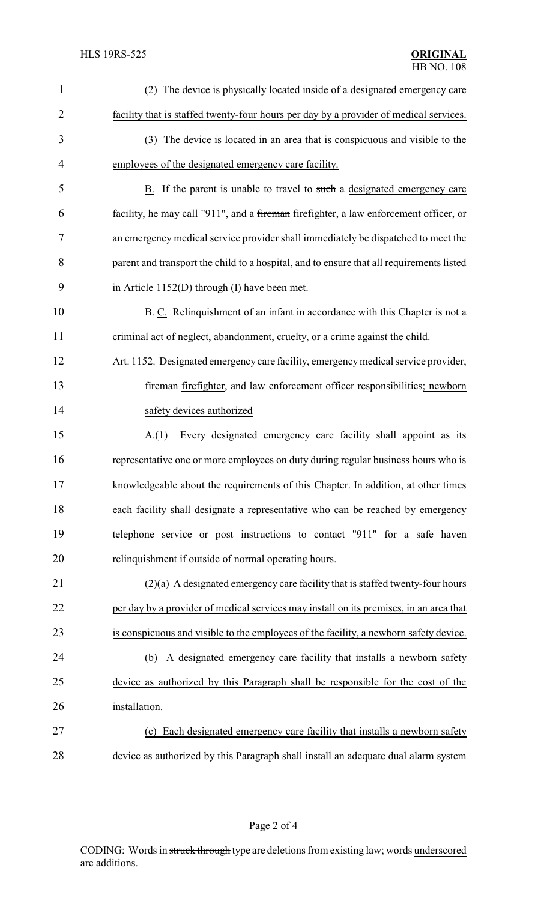| $\mathbf{1}$   | (2) The device is physically located inside of a designated emergency care               |
|----------------|------------------------------------------------------------------------------------------|
| $\overline{2}$ | facility that is staffed twenty-four hours per day by a provider of medical services.    |
| 3              | (3) The device is located in an area that is conspicuous and visible to the              |
| 4              | employees of the designated emergency care facility.                                     |
| 5              | B. If the parent is unable to travel to such a designated emergency care                 |
| 6              | facility, he may call "911", and a fireman firefighter, a law enforcement officer, or    |
| 7              | an emergency medical service provider shall immediately be dispatched to meet the        |
| 8              | parent and transport the child to a hospital, and to ensure that all requirements listed |
| 9              | in Article $1152(D)$ through (I) have been met.                                          |
| 10             | B. C. Relinquishment of an infant in accordance with this Chapter is not a               |
| 11             | criminal act of neglect, abandonment, cruelty, or a crime against the child.             |
| 12             | Art. 1152. Designated emergency care facility, emergency medical service provider,       |
| 13             | fireman firefighter, and law enforcement officer responsibilities; newborn               |
| 14             | safety devices authorized                                                                |
| 15             | Every designated emergency care facility shall appoint as its<br>A(1)                    |
| 16             | representative one or more employees on duty during regular business hours who is        |
| 17             | knowledgeable about the requirements of this Chapter. In addition, at other times        |
| 18             | each facility shall designate a representative who can be reached by emergency           |
| 19             | telephone service or post instructions to contact "911" for a safe haven                 |
| 20             | relinquishment if outside of normal operating hours.                                     |
| 21             | $(2)(a)$ A designated emergency care facility that is staffed twenty-four hours          |
| 22             | per day by a provider of medical services may install on its premises, in an area that   |
| 23             | is conspicuous and visible to the employees of the facility, a newborn safety device.    |
| 24             | A designated emergency care facility that installs a newborn safety<br>(b)               |
| 25             | device as authorized by this Paragraph shall be responsible for the cost of the          |
| 26             | installation.                                                                            |
| 27             | (c) Each designated emergency care facility that installs a newborn safety               |
| 28             | device as authorized by this Paragraph shall install an adequate dual alarm system       |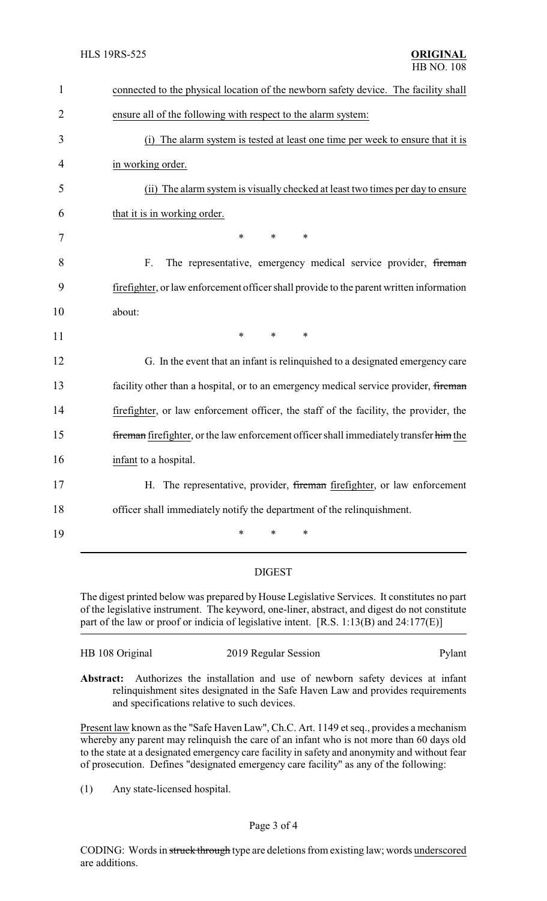| $\mathbf{1}$   | connected to the physical location of the newborn safety device. The facility shall     |
|----------------|-----------------------------------------------------------------------------------------|
| $\overline{2}$ | ensure all of the following with respect to the alarm system:                           |
| 3              | (i) The alarm system is tested at least one time per week to ensure that it is          |
| 4              | in working order.                                                                       |
| 5              | (ii) The alarm system is visually checked at least two times per day to ensure          |
| 6              | that it is in working order.                                                            |
| 7              | $\ast$<br>$\ast$<br>*                                                                   |
| 8              | F.<br>The representative, emergency medical service provider, fireman                   |
| 9              | firefighter, or law enforcement officer shall provide to the parent written information |
| 10             | about:                                                                                  |
| 11             | $\ast$<br>$\ast$<br>*                                                                   |
| 12             | G. In the event that an infant is relinquished to a designated emergency care           |
| 13             | facility other than a hospital, or to an emergency medical service provider, fireman    |
| 14             | firefighter, or law enforcement officer, the staff of the facility, the provider, the   |
| 15             | fireman firefighter, or the law enforcement officer shall immediately transfer him the  |
| 16             | infant to a hospital.                                                                   |
| 17             | H. The representative, provider, fireman firefighter, or law enforcement                |
| 18             | officer shall immediately notify the department of the relinquishment.                  |
| 19             | $\ast$<br>*<br>*                                                                        |
|                |                                                                                         |

## DIGEST

The digest printed below was prepared by House Legislative Services. It constitutes no part of the legislative instrument. The keyword, one-liner, abstract, and digest do not constitute part of the law or proof or indicia of legislative intent. [R.S. 1:13(B) and 24:177(E)]

| HB 108 Original                                                                          |  |  | 2019 Regular Session |  |  |  | Pylant |  |  |  |  |
|------------------------------------------------------------------------------------------|--|--|----------------------|--|--|--|--------|--|--|--|--|
| <b>Abstract:</b> Authorizes the installation and use of newborn safety devices at infant |  |  |                      |  |  |  |        |  |  |  |  |

**Abstract:** Authorizes the installation and use of newborn safety devices at infant relinquishment sites designated in the Safe Haven Law and provides requirements and specifications relative to such devices.

Present law known as the "Safe Haven Law", Ch.C. Art. 1149 et seq., provides a mechanism whereby any parent may relinquish the care of an infant who is not more than 60 days old to the state at a designated emergency care facility in safety and anonymity and without fear of prosecution. Defines "designated emergency care facility" as any of the following:

(1) Any state-licensed hospital.